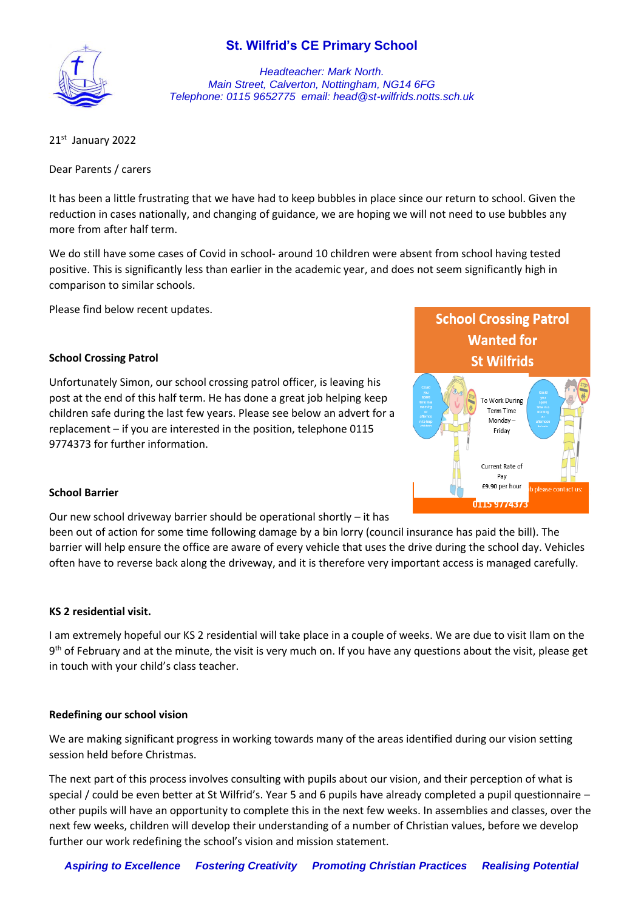# **St. Wilfrid's CE Primary School**



*Headteacher: Mark North. Main Street, Calverton, Nottingham, NG14 6FG Telephone: 0115 9652775 email: head@st-wilfrids.notts.sch.uk*

21st January 2022

Dear Parents / carers

It has been a little frustrating that we have had to keep bubbles in place since our return to school. Given the reduction in cases nationally, and changing of guidance, we are hoping we will not need to use bubbles any more from after half term.

We do still have some cases of Covid in school- around 10 children were absent from school having tested positive. This is significantly less than earlier in the academic year, and does not seem significantly high in comparison to similar schools.

Please find below recent updates.

### **School Crossing Patrol**

Unfortunately Simon, our school crossing patrol officer, is leaving his post at the end of this half term. He has done a great job helping keep children safe during the last few years. Please see below an advert for a replacement – if you are interested in the position, telephone 0115 9774373 for further information.



### **School Barrier**

Our new school driveway barrier should be operational shortly – it has

been out of action for some time following damage by a bin lorry (council insurance has paid the bill). The barrier will help ensure the office are aware of every vehicle that uses the drive during the school day. Vehicles often have to reverse back along the driveway, and it is therefore very important access is managed carefully.

#### **KS 2 residential visit.**

I am extremely hopeful our KS 2 residential will take place in a couple of weeks. We are due to visit Ilam on the 9<sup>th</sup> of February and at the minute, the visit is very much on. If you have any questions about the visit, please get in touch with your child's class teacher.

#### **Redefining our school vision**

We are making significant progress in working towards many of the areas identified during our vision setting session held before Christmas.

The next part of this process involves consulting with pupils about our vision, and their perception of what is special / could be even better at St Wilfrid's. Year 5 and 6 pupils have already completed a pupil questionnaire – other pupils will have an opportunity to complete this in the next few weeks. In assemblies and classes, over the next few weeks, children will develop their understanding of a number of Christian values, before we develop further our work redefining the school's vision and mission statement.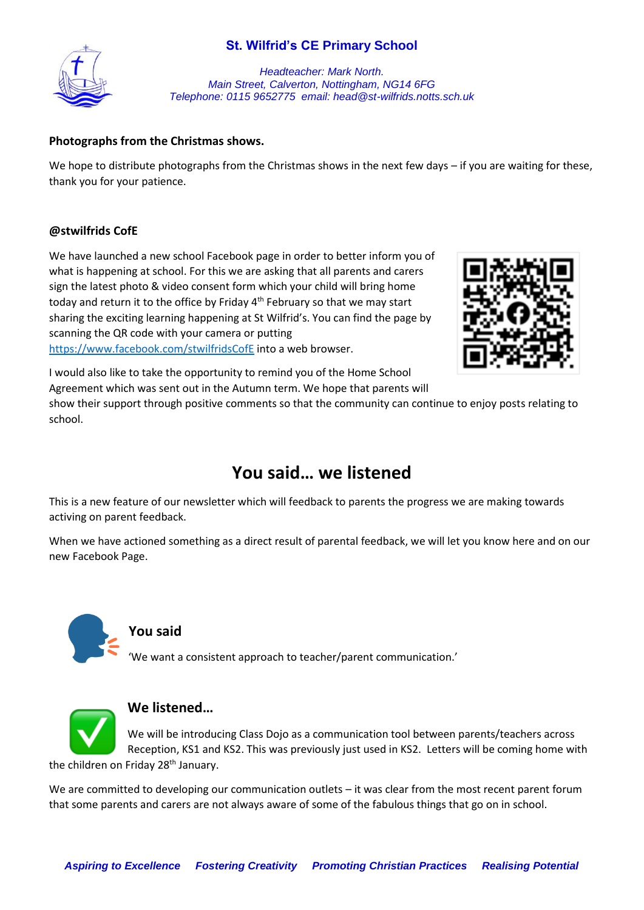# **St. Wilfrid's CE Primary School**



*Headteacher: Mark North. Main Street, Calverton, Nottingham, NG14 6FG Telephone: 0115 9652775 email: head@st-wilfrids.notts.sch.uk*

## **Photographs from the Christmas shows.**

We hope to distribute photographs from the Christmas shows in the next few days – if you are waiting for these, thank you for your patience.

### **@stwilfrids CofE**

We have launched a new school Facebook page in order to better inform you of what is happening at school. For this we are asking that all parents and carers sign the latest photo & video consent form which your child will bring home today and return it to the office by Friday 4<sup>th</sup> February so that we may start sharing the exciting learning happening at St Wilfrid's. You can find the page by scanning the QR code with your camera or putting <https://www.facebook.com/stwilfridsCofE> into a web browser.



I would also like to take the opportunity to remind you of the Home School Agreement which was sent out in the Autumn term. We hope that parents will

show their support through positive comments so that the community can continue to enjoy posts relating to school.

# **You said… we listened**

This is a new feature of our newsletter which will feedback to parents the progress we are making towards activing on parent feedback.

When we have actioned something as a direct result of parental feedback, we will let you know here and on our new Facebook Page.



## **You said**

'We want a consistent approach to teacher/parent communication.'



## **We listened…**

We will be introducing Class Dojo as a communication tool between parents/teachers across Reception, KS1 and KS2. This was previously just used in KS2. Letters will be coming home with the children on Friday 28<sup>th</sup> January.

We are committed to developing our communication outlets – it was clear from the most recent parent forum that some parents and carers are not always aware of some of the fabulous things that go on in school.